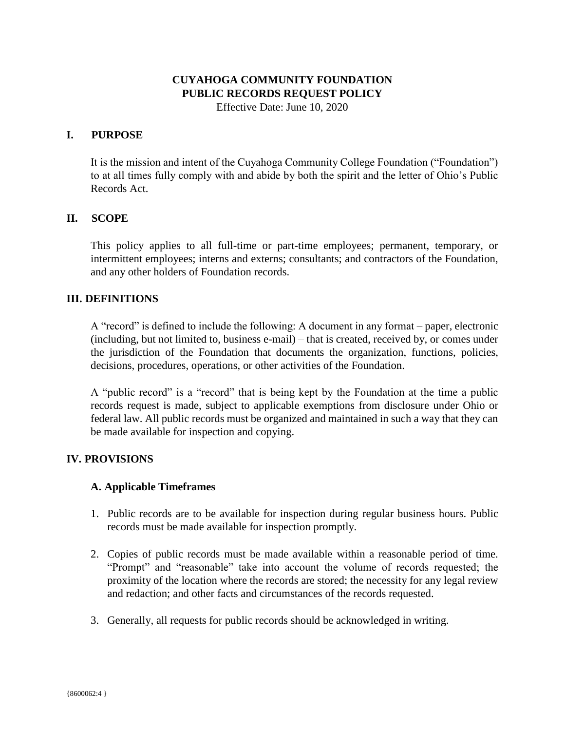# **CUYAHOGA COMMUNITY FOUNDATION PUBLIC RECORDS REQUEST POLICY**

Effective Date: June 10, 2020

# **I. PURPOSE**

It is the mission and intent of the Cuyahoga Community College Foundation ("Foundation") to at all times fully comply with and abide by both the spirit and the letter of Ohio's Public Records Act.

# **II. SCOPE**

This policy applies to all full-time or part-time employees; permanent, temporary, or intermittent employees; interns and externs; consultants; and contractors of the Foundation, and any other holders of Foundation records.

## **III. DEFINITIONS**

A "record" is defined to include the following: A document in any format – paper, electronic (including, but not limited to, business e-mail) – that is created, received by, or comes under the jurisdiction of the Foundation that documents the organization, functions, policies, decisions, procedures, operations, or other activities of the Foundation.

A "public record" is a "record" that is being kept by the Foundation at the time a public records request is made, subject to applicable exemptions from disclosure under Ohio or federal law. All public records must be organized and maintained in such a way that they can be made available for inspection and copying.

# **IV. PROVISIONS**

## **A. Applicable Timeframes**

- 1. Public records are to be available for inspection during regular business hours. Public records must be made available for inspection promptly.
- 2. Copies of public records must be made available within a reasonable period of time. "Prompt" and "reasonable" take into account the volume of records requested; the proximity of the location where the records are stored; the necessity for any legal review and redaction; and other facts and circumstances of the records requested.
- 3. Generally, all requests for public records should be acknowledged in writing.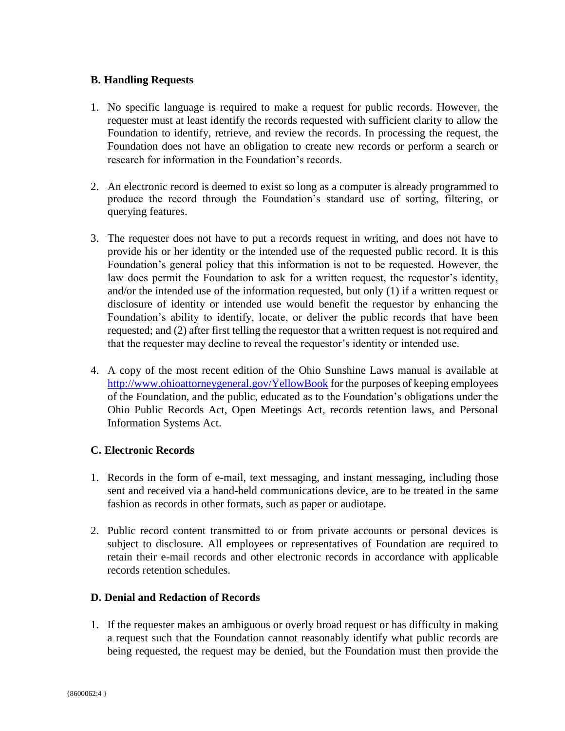# **B. Handling Requests**

- 1. No specific language is required to make a request for public records. However, the requester must at least identify the records requested with sufficient clarity to allow the Foundation to identify, retrieve, and review the records. In processing the request, the Foundation does not have an obligation to create new records or perform a search or research for information in the Foundation's records.
- 2. An electronic record is deemed to exist so long as a computer is already programmed to produce the record through the Foundation's standard use of sorting, filtering, or querying features.
- 3. The requester does not have to put a records request in writing, and does not have to provide his or her identity or the intended use of the requested public record. It is this Foundation's general policy that this information is not to be requested. However, the law does permit the Foundation to ask for a written request, the requestor's identity, and/or the intended use of the information requested, but only (1) if a written request or disclosure of identity or intended use would benefit the requestor by enhancing the Foundation's ability to identify, locate, or deliver the public records that have been requested; and (2) after first telling the requestor that a written request is not required and that the requester may decline to reveal the requestor's identity or intended use.
- 4. A copy of the most recent edition of the Ohio Sunshine Laws manual is available at <http://www.ohioattorneygeneral.gov/YellowBook> for the purposes of keeping employees of the Foundation, and the public, educated as to the Foundation's obligations under the Ohio Public Records Act, Open Meetings Act, records retention laws, and Personal Information Systems Act.

## **C. Electronic Records**

- 1. Records in the form of e-mail, text messaging, and instant messaging, including those sent and received via a hand-held communications device, are to be treated in the same fashion as records in other formats, such as paper or audiotape.
- 2. Public record content transmitted to or from private accounts or personal devices is subject to disclosure. All employees or representatives of Foundation are required to retain their e-mail records and other electronic records in accordance with applicable records retention schedules.

## **D. Denial and Redaction of Records**

1. If the requester makes an ambiguous or overly broad request or has difficulty in making a request such that the Foundation cannot reasonably identify what public records are being requested, the request may be denied, but the Foundation must then provide the